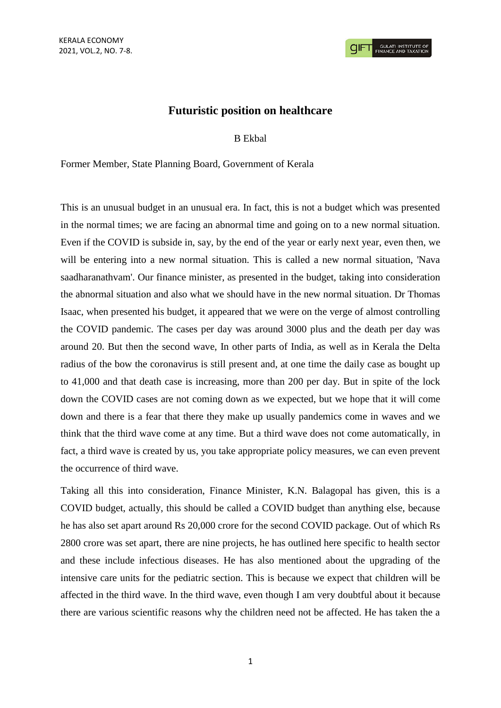## **Futuristic position on healthcare**

## B Ekbal

Former Member, State Planning Board, Government of Kerala

This is an unusual budget in an unusual era. In fact, this is not a budget which was presented in the normal times; we are facing an abnormal time and going on to a new normal situation. Even if the COVID is subside in, say, by the end of the year or early next year, even then, we will be entering into a new normal situation. This is called a new normal situation, 'Nava saadharanathvam'. Our finance minister, as presented in the budget, taking into consideration the abnormal situation and also what we should have in the new normal situation. Dr Thomas Isaac, when presented his budget, it appeared that we were on the verge of almost controlling the COVID pandemic. The cases per day was around 3000 plus and the death per day was around 20. But then the second wave, In other parts of India, as well as in Kerala the Delta radius of the bow the coronavirus is still present and, at one time the daily case as bought up to 41,000 and that death case is increasing, more than 200 per day. But in spite of the lock down the COVID cases are not coming down as we expected, but we hope that it will come down and there is a fear that there they make up usually pandemics come in waves and we think that the third wave come at any time. But a third wave does not come automatically, in fact, a third wave is created by us, you take appropriate policy measures, we can even prevent the occurrence of third wave.

Taking all this into consideration, Finance Minister, K.N. Balagopal has given, this is a COVID budget, actually, this should be called a COVID budget than anything else, because he has also set apart around Rs 20,000 crore for the second COVID package. Out of which Rs 2800 crore was set apart, there are nine projects, he has outlined here specific to health sector and these include infectious diseases. He has also mentioned about the upgrading of the intensive care units for the pediatric section. This is because we expect that children will be affected in the third wave. In the third wave, even though I am very doubtful about it because there are various scientific reasons why the children need not be affected. He has taken the a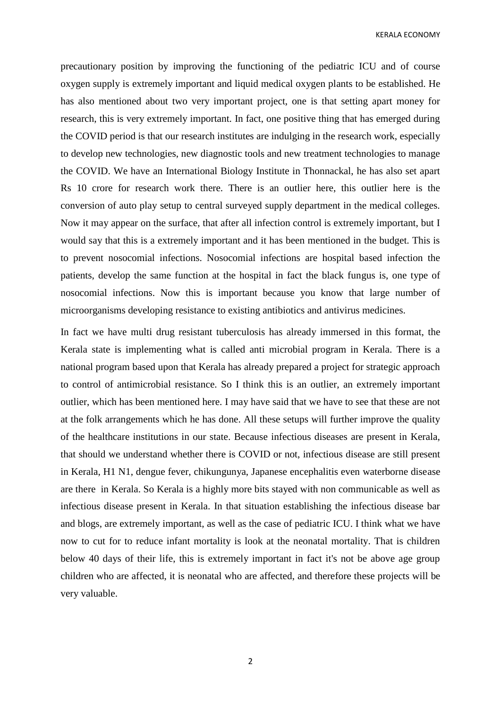KERALA ECONOMY

precautionary position by improving the functioning of the pediatric ICU and of course oxygen supply is extremely important and liquid medical oxygen plants to be established. He has also mentioned about two very important project, one is that setting apart money for research, this is very extremely important. In fact, one positive thing that has emerged during the COVID period is that our research institutes are indulging in the research work, especially to develop new technologies, new diagnostic tools and new treatment technologies to manage the COVID. We have an International Biology Institute in Thonnackal, he has also set apart Rs 10 crore for research work there. There is an outlier here, this outlier here is the conversion of auto play setup to central surveyed supply department in the medical colleges. Now it may appear on the surface, that after all infection control is extremely important, but I would say that this is a extremely important and it has been mentioned in the budget. This is to prevent nosocomial infections. Nosocomial infections are hospital based infection the patients, develop the same function at the hospital in fact the black fungus is, one type of nosocomial infections. Now this is important because you know that large number of microorganisms developing resistance to existing antibiotics and antivirus medicines.

In fact we have multi drug resistant tuberculosis has already immersed in this format, the Kerala state is implementing what is called anti microbial program in Kerala. There is a national program based upon that Kerala has already prepared a project for strategic approach to control of antimicrobial resistance. So I think this is an outlier, an extremely important outlier, which has been mentioned here. I may have said that we have to see that these are not at the folk arrangements which he has done. All these setups will further improve the quality of the healthcare institutions in our state. Because infectious diseases are present in Kerala, that should we understand whether there is COVID or not, infectious disease are still present in Kerala, H1 N1, dengue fever, chikungunya, Japanese encephalitis even waterborne disease are there in Kerala. So Kerala is a highly more bits stayed with non communicable as well as infectious disease present in Kerala. In that situation establishing the infectious disease bar and blogs, are extremely important, as well as the case of pediatric ICU. I think what we have now to cut for to reduce infant mortality is look at the neonatal mortality. That is children below 40 days of their life, this is extremely important in fact it's not be above age group children who are affected, it is neonatal who are affected, and therefore these projects will be very valuable.